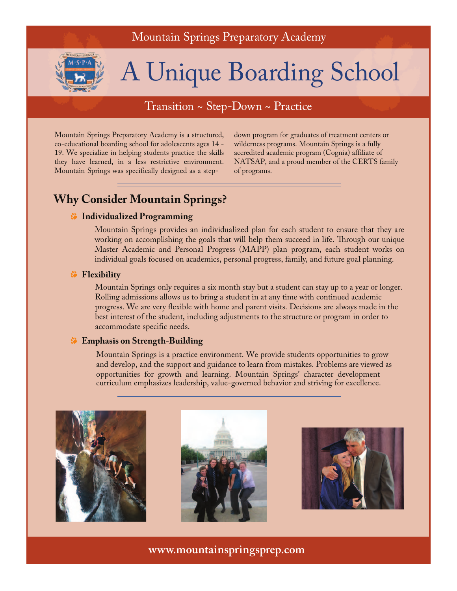# Mountain Springs Preparatory Academy



# A Unique Boarding School

# Transition ~ Step-Down ~ Practice

Mountain Springs Preparatory Academy is a structured, co-educational boarding school for adolescents ages 14 - 19. We specialize in helping students practice the skills they have learned, in a less restrictive environment. Mountain Springs was specifically designed as a stepdown program for graduates of treatment centers or wilderness programs. Mountain Springs is a fully accredited academic program (Cognia) affiliate of NATSAP, and a proud member of the CERTS family of programs.

# **Why Consider Mountain Springs?**

#### **Individualized Programming**

Mountain Springs provides an individualized plan for each student to ensure that they are working on accomplishing the goals that will help them succeed in life. Through our unique Master Academic and Personal Progress (MAPP) plan program, each student works on individual goals focused on academics, personal progress, family, and future goal planning.

#### **Flexibility**

Mountain Springs only requires a six month stay but a student can stay up to a year or longer. Rolling admissions allows us to bring a student in at any time with continued academic progress. We are very flexible with home and parent visits. Decisions are always made in the best interest of the student, including adjustments to the structure or program in order to accommodate specific needs.

## **Emphasis on Strength-Building**

Mountain Springs is a practice environment. We provide students opportunities to grow and develop, and the support and guidance to learn from mistakes. Problems are viewed as opportunities for growth and learning. Mountain Springs' character development curriculum emphasizes leadership, value-governed behavior and striving for excellence.







**www.mountainspringsprep.com**